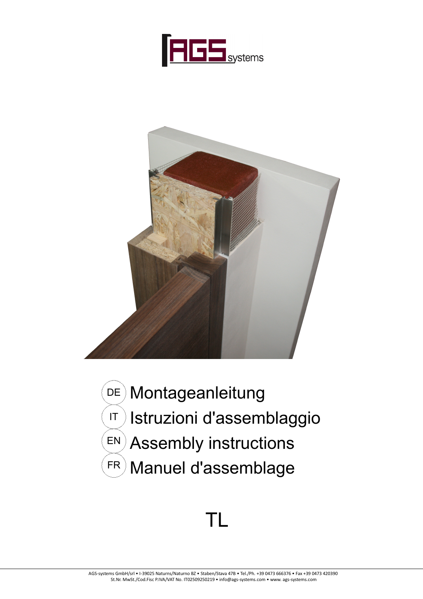



Montageanleitung Istruzioni d'assemblaggio Assembly instructions Manuel d'assemblage DE) IT EN FR

# TL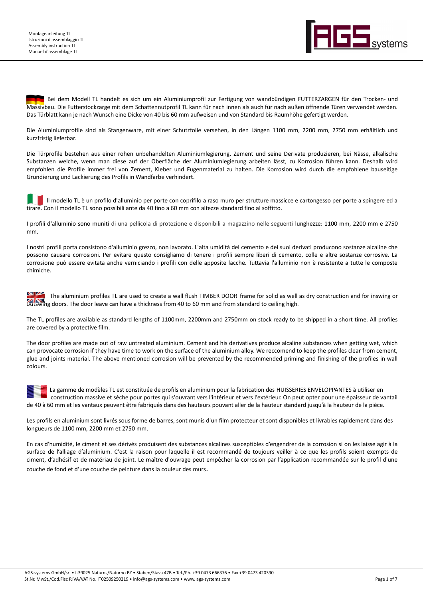

 Bei dem Modell TL handelt es sich um ein Aluminiumprofil zur Fertigung von wandbündigen FUTTERZARGEN für den Trocken- und Massivbau. Die Futterstockzarge mit dem Schattennutprofil TL kann für nach innen als auch für nach außen öffnende Türen verwendet werden. Das Türblatt kann je nach Wunsch eine Dicke von 40 bis 60 mm aufweisen und von Standard bis Raumhöhe gefertigt werden.

Die Aluminiumprofile sind als Stangenware, mit einer Schutzfolie versehen, in den Längen 1100 mm, 2200 mm, 2750 mm erhältlich und kurzfristig lieferbar.

Die Türprofile bestehen aus einer rohen unbehandelten Aluminiumlegierung. Zement und seine Derivate produzieren, bei Nässe, alkalische Substanzen welche, wenn man diese auf der Oberfläche der Aluminiumlegierung arbeiten lässt, zu Korrosion führen kann. Deshalb wird empfohlen die Profile immer frei von Zement, Kleber und Fugenmaterial zu halten. Die Korrosion wird durch die empfohlene bauseitige Grundierung und Lackierung des Profils in Wandfarbe verhindert.

 ll modello TL è un profilo d'alluminio per porte con coprifilo a raso muro per strutture massicce e cartongesso per porte a spingere ed a Il modello TL è un profilo d'alluminio per porte con coprifilo a raso muro per strutture mass<br>tirare. Con il modello TL sono possibili ante da 40 fino a 60 mm con altezze standard fino al soffitto.

I profili d'alluminio sono muniti di una pellicola di protezione e disponibili a magazzino nelle seguenti lunghezze: 1100 mm, 2200 mm e 2750 mm.

I nostri profili porta consistono d'alluminio grezzo, non lavorato. L'alta umidità del cemento e dei suoi derivati producono sostanze alcaline che possono causare corrosioni. Per evitare questo consigliamo di tenere i profili sempre liberi di cemento, colle e altre sostanze corrosive. La corrosione può essere evitata anche verniciando i profili con delle apposite lacche. Tuttavia l'alluminio non è resistente a tutte le composte chimiche.

 The aluminium profiles TL are used to create a wall flush TIMBER DOOR frame for solid as well as dry construction and for inswing or outswing doors. The door leave can have a thickness from 40 to 60 mm and from standard to ceiling high.

The TL profiles are available as standard lengths of 1100mm, 2200mm and 2750mm on stock ready to be shipped in a short time. All profiles are covered by a protective film.

The door profiles are made out of raw untreated aluminium. Cement and his derivatives produce alcaline substances when getting wet, which can provocate corrosion if they have time to work on the surface of the aluminium alloy. We reccomend to keep the profiles clear from cement, glue and joints material. The above mentioned corrosion will be prevented by the recommended priming and finishing of the profiles in wall colours.

 La gamme de modèles TL est constituée de profils en aluminium pour la fabrication des HUISSERIES ENVELOPPANTES à utiliser en construction massive et sèche pour portes qui s'ouvrant vers l'intérieur et vers l'extérieur. On peut opter pour une épaisseur de vantail de 40 à 60 mm et les vantaux peuvent être fabriqués dans des hauteurs pouvant aller de la hauteur standard jusqu'à la hauteur de la pièce.

Les profils en aluminium sont livrés sous forme de barres, sont munis d'un film protecteur et sont disponibles et livrables rapidement dans des longueurs de 1100 mm, 2200 mm et 2750 mm.

En cas d'humidité, le ciment et ses dérivés produisent des substances alcalines susceptibles d'engendrer de la corrosion si on les laisse agir à la surface de l'alliage d'aluminium. C'est la raison pour laquelle il est recommandé de toujours veiller à ce que les profils soient exempts de ciment, d'adhésif et de matériau de joint. Le maître d'ouvrage peut empêcher la corrosion par l'application recommandée sur le profil d'une couche de fond et d'une couche de peinture dans la couleur des murs.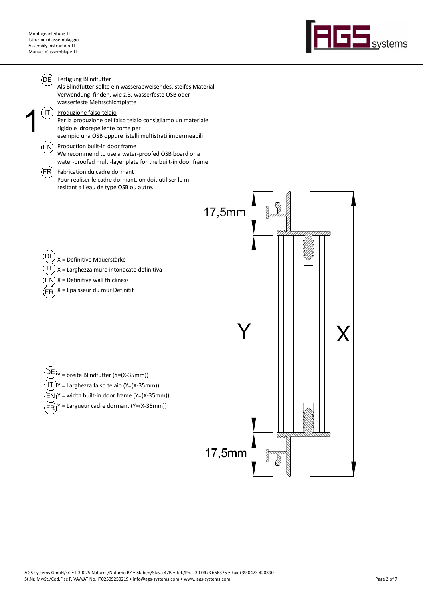

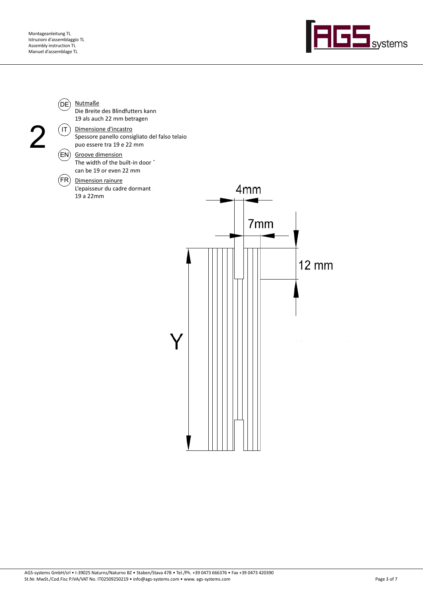

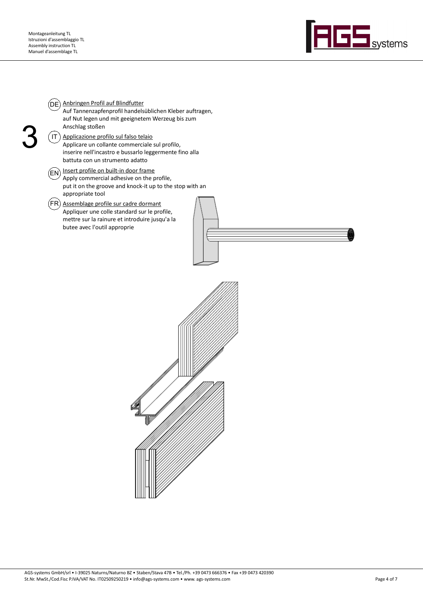

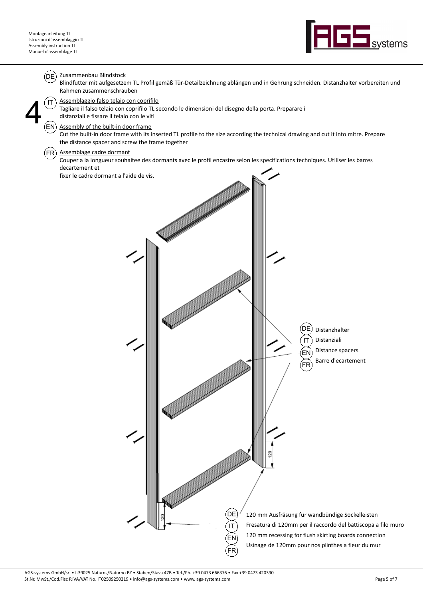

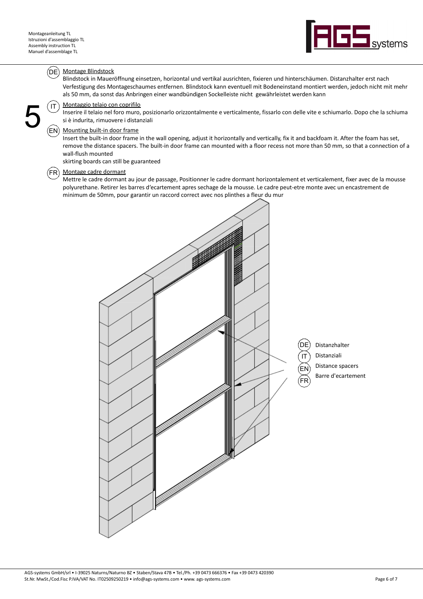5



# Montage Blindstock  $(DE)$

Blindstock in Maueröffnung einsetzen, horizontal und vertikal ausrichten, fixieren und hinterschäumen. Distanzhalter erst nach Verfestigung des Montageschaumes entfernen. Blindstock kann eventuell mit Bodeneinstand montiert werden, jedoch nicht mit mehr als 50 mm, da sonst das Anbringen einer wandbündigen Sockelleiste nicht gewährleistet werden kann

## Montaggio telaio con coprifilo  $\hat{}$  IT

Inserire il telaio nel foro muro, posizionarlo orizzontalmente e verticalmente, fissarlo con delle vite e schiumarlo. Dopo che la schiuma si è indurita, rimuovere i distanziali

### Mounting built-in door frame EN

Insert the built-in door frame in the wall opening, adjust it horizontally and vertically, fix it and backfoam it. After the foam has set, remove the distance spacers. The built-in door frame can mounted with a floor recess not more than 50 mm, so that a connection of a wall-flush mounted

skirting boards can still be guaranteed

## Montage cadre dormant  $(FR)$

Mettre le cadre dormant au jour de passage, Positionner le cadre dormant horizontalement et verticalement, fixer avec de la mousse polyurethane. Retirer les barres d'ecartement apres sechage de la mousse. Le cadre peut-etre monte avec un encastrement de minimum de 50mm, pour garantir un raccord correct avec nos plinthes a fleur du mur